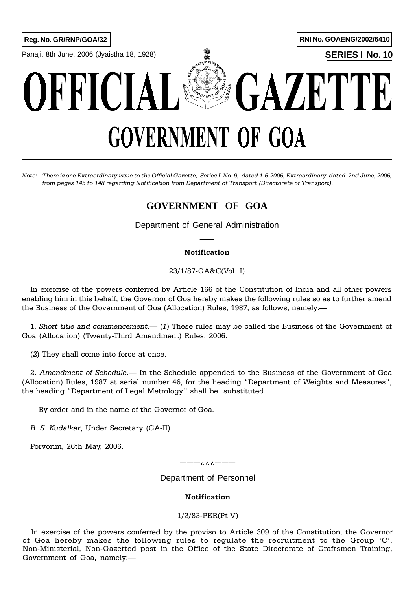Panaji, 8th June, 2006 (Jyaistha 18, 1928) **SERIES I No. 10**



# **GAZETTE** OFFICIA **GOVERNMENT OF GOA**

Note: There is one Extraordinary issue to the Official Gazette, Series I No. 9, dated 1-6-2006, Extraordinary dated 2nd June, 2006, from pages 145 to 148 regarding Notification from Department of Transport (Directorate of Transport).

# **GOVERNMENT OF GOA**

Department of General Administration  $\overline{\phantom{a}}$ 

## Notification

23/1/87-GA&C(Vol. I)

In exercise of the powers conferred by Article 166 of the Constitution of India and all other powers enabling him in this behalf, the Governor of Goa hereby makes the following rules so as to further amend the Business of the Government of Goa (Allocation) Rules, 1987, as follows, namely:

1. Short title and commencement.  $-$  (1) These rules may be called the Business of the Government of Goa (Allocation) (Twenty-Third Amendment) Rules, 2006.

(2) They shall come into force at once.

2. Amendment of Schedule.— In the Schedule appended to the Business of the Government of Goa (Allocation) Rules, 1987 at serial number 46, for the heading "Department of Weights and Measures", the heading "Department of Legal Metrology" shall be substituted.

By order and in the name of the Governor of Goa.

B. S. Kudalkar, Under Secretary (GA-II).

Porvorim, 26th May, 2006.

———¿¿¿———

Department of Personnel

### Notification

### 1/2/83-PER(Pt.V)

In exercise of the powers conferred by the proviso to Article 309 of the Constitution, the Governor of Goa hereby makes the following rules to regulate the recruitment to the Group 'C', Non-Ministerial, Non-Gazetted post in the Office of the State Directorate of Craftsmen Training, Government of Goa, namely: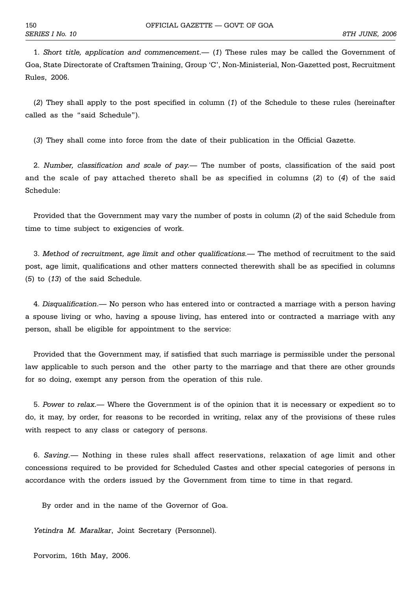1. Short title, application and commencement.  $(1)$  These rules may be called the Government of Goa, State Directorate of Craftsmen Training, Group 'C', Non-Ministerial, Non-Gazetted post, Recruitment Rules, 2006.

(2) They shall apply to the post specified in column (1) of the Schedule to these rules (hereinafter called as the "said Schedule").

(3) They shall come into force from the date of their publication in the Official Gazette.

2. Number, classification and scale of pay.— The number of posts, classification of the said post and the scale of pay attached thereto shall be as specified in columns (2) to (4) of the said Schedule:

Provided that the Government may vary the number of posts in column (2) of the said Schedule from time to time subject to exigencies of work.

3. Method of recruitment, age limit and other qualifications.— The method of recruitment to the said post, age limit, qualifications and other matters connected therewith shall be as specified in columns (5) to (13) of the said Schedule.

4. Disqualification.— No person who has entered into or contracted a marriage with a person having a spouse living or who, having a spouse living, has entered into or contracted a marriage with any person, shall be eligible for appointment to the service:

Provided that the Government may, if satisfied that such marriage is permissible under the personal law applicable to such person and the other party to the marriage and that there are other grounds for so doing, exempt any person from the operation of this rule.

5. Power to relax. Where the Government is of the opinion that it is necessary or expedient so to do, it may, by order, for reasons to be recorded in writing, relax any of the provisions of these rules with respect to any class or category of persons.

6. Saving. Nothing in these rules shall affect reservations, relaxation of age limit and other concessions required to be provided for Scheduled Castes and other special categories of persons in accordance with the orders issued by the Government from time to time in that regard.

By order and in the name of the Governor of Goa.

Yetindra M. Maralkar, Joint Secretary (Personnel).

Porvorim, 16th May, 2006.